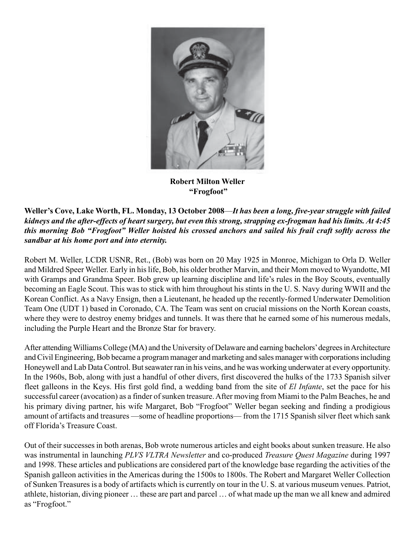

**Robert Milton Weller "Frogfoot"**

**Weller's Cove, Lake Worth, FL. Monday, 13 October 2008**—*It has been a long, five-year struggle with failed kidneys and the after-effects of heart surgery, but even this strong, strapping ex-frogman had his limits. At 4:45 this morning Bob "Frogfoot" Weller hoisted his crossed anchors and sailed his frail craft softly across the sandbar at his home port and into eternity.*

Robert M. Weller, LCDR USNR, Ret., (Bob) was born on 20 May 1925 in Monroe, Michigan to Orla D. Weller and Mildred Speer Weller. Early in his life, Bob, his older brother Marvin, and their Mom moved to Wyandotte, MI with Gramps and Grandma Speer. Bob grew up learning discipline and life's rules in the Boy Scouts, eventually becoming an Eagle Scout. This was to stick with him throughout his stints in the U. S. Navy during WWII and the Korean Conflict. As a Navy Ensign, then a Lieutenant, he headed up the recently-formed Underwater Demolition Team One (UDT 1) based in Coronado, CA. The Team was sent on crucial missions on the North Korean coasts, where they were to destroy enemy bridges and tunnels. It was there that he earned some of his numerous medals, including the Purple Heart and the Bronze Star for bravery.

After attending Williams College (MA) and the University of Delaware and earning bachelors' degrees in Architecture and Civil Engineering, Bob became a program manager and marketing and sales manager with corporations including Honeywell and Lab Data Control. But seawater ran in his veins, and he was working underwater at every opportunity. In the 1960s, Bob, along with just a handful of other divers, first discovered the hulks of the 1733 Spanish silver fleet galleons in the Keys. His first gold find, a wedding band from the site of *El Infante*, set the pace for his successful career (avocation) as a finder of sunken treasure. After moving from Miami to the Palm Beaches, he and his primary diving partner, his wife Margaret, Bob "Frogfoot" Weller began seeking and finding a prodigious amount of artifacts and treasures —some of headline proportions— from the 1715 Spanish silver fleet which sank off Florida's Treasure Coast.

Out of their successes in both arenas, Bob wrote numerous articles and eight books about sunken treasure. He also was instrumental in launching *PLVS VLTRA Newsletter* and co-produced *Treasure Quest Magazine* during 1997 and 1998. These articles and publications are considered part of the knowledge base regarding the activities of the Spanish galleon activities in the Americas during the 1500s to 1800s. The Robert and Margaret Weller Collection of Sunken Treasures is a body of artifacts which is currently on tour in the U. S. at various museum venues. Patriot, athlete, historian, diving pioneer … these are part and parcel … of what made up the man we all knew and admired as "Frogfoot."